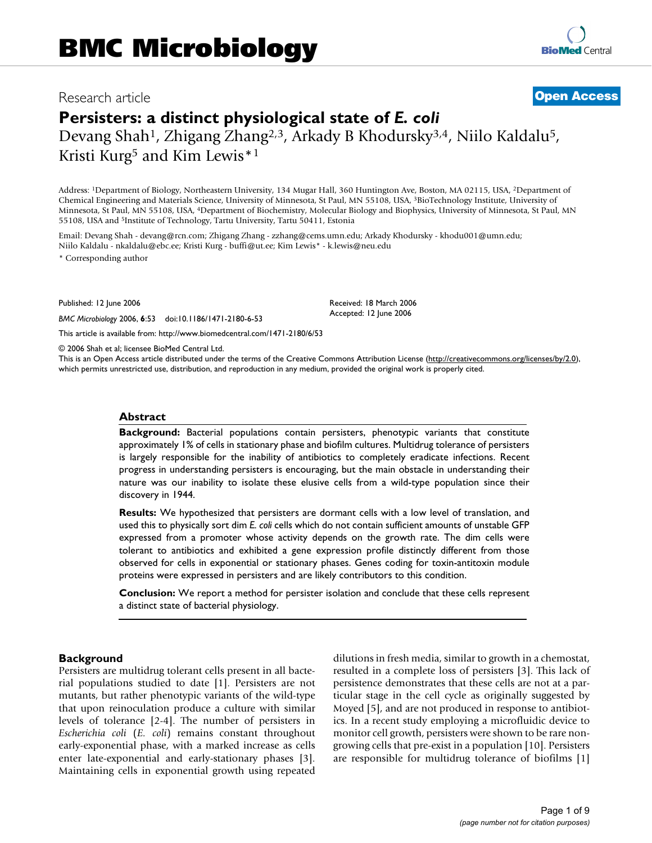# Research article **[Open Access](http://www.biomedcentral.com/info/about/charter/)**

# **Persisters: a distinct physiological state of** *E. coli* Devang Shah1, Zhigang Zhang2,3, Arkady B Khodursky3,4, Niilo Kaldalu5, Kristi Kurg<sup>5</sup> and Kim Lewis<sup>\*1</sup>

Address: 1Department of Biology, Northeastern University, 134 Mugar Hall, 360 Huntington Ave, Boston, MA 02115, USA, 2Department of Chemical Engineering and Materials Science, University of Minnesota, St Paul, MN 55108, USA, 3BioTechnology Institute, University of Minnesota, St Paul, MN 55108, USA, 4Department of Biochemistry, Molecular Biology and Biophysics, University of Minnesota, St Paul, MN 55108, USA and 5Institute of Technology, Tartu University, Tartu 50411, Estonia

Email: Devang Shah - devang@rcn.com; Zhigang Zhang - zzhang@cems.umn.edu; Arkady Khodursky - khodu001@umn.edu; Niilo Kaldalu - nkaldalu@ebc.ee; Kristi Kurg - buffi@ut.ee; Kim Lewis\* - k.lewis@neu.edu

\* Corresponding author

Published: 12 June 2006

*BMC Microbiology* 2006, **6**:53 doi:10.1186/1471-2180-6-53

[This article is available from: http://www.biomedcentral.com/1471-2180/6/53](http://www.biomedcentral.com/1471-2180/6/53)

© 2006 Shah et al; licensee BioMed Central Ltd.

This is an Open Access article distributed under the terms of the Creative Commons Attribution License [\(http://creativecommons.org/licenses/by/2.0\)](http://creativecommons.org/licenses/by/2.0), which permits unrestricted use, distribution, and reproduction in any medium, provided the original work is properly cited.

Received: 18 March 2006 Accepted: 12 June 2006

#### **Abstract**

**Background:** Bacterial populations contain persisters, phenotypic variants that constitute approximately 1% of cells in stationary phase and biofilm cultures. Multidrug tolerance of persisters is largely responsible for the inability of antibiotics to completely eradicate infections. Recent progress in understanding persisters is encouraging, but the main obstacle in understanding their nature was our inability to isolate these elusive cells from a wild-type population since their discovery in 1944.

**Results:** We hypothesized that persisters are dormant cells with a low level of translation, and used this to physically sort dim *E. coli* cells which do not contain sufficient amounts of unstable GFP expressed from a promoter whose activity depends on the growth rate. The dim cells were tolerant to antibiotics and exhibited a gene expression profile distinctly different from those observed for cells in exponential or stationary phases. Genes coding for toxin-antitoxin module proteins were expressed in persisters and are likely contributors to this condition.

**Conclusion:** We report a method for persister isolation and conclude that these cells represent a distinct state of bacterial physiology.

#### **Background**

Persisters are multidrug tolerant cells present in all bacterial populations studied to date [1]. Persisters are not mutants, but rather phenotypic variants of the wild-type that upon reinoculation produce a culture with similar levels of tolerance [2-4]. The number of persisters in *Escherichia coli* (*E. coli*) remains constant throughout early-exponential phase, with a marked increase as cells enter late-exponential and early-stationary phases [3]. Maintaining cells in exponential growth using repeated dilutions in fresh media, similar to growth in a chemostat, resulted in a complete loss of persisters [3]. This lack of persistence demonstrates that these cells are not at a particular stage in the cell cycle as originally suggested by Moyed [5], and are not produced in response to antibiotics. In a recent study employing a microfluidic device to monitor cell growth, persisters were shown to be rare nongrowing cells that pre-exist in a population [10]. Persisters are responsible for multidrug tolerance of biofilms [1]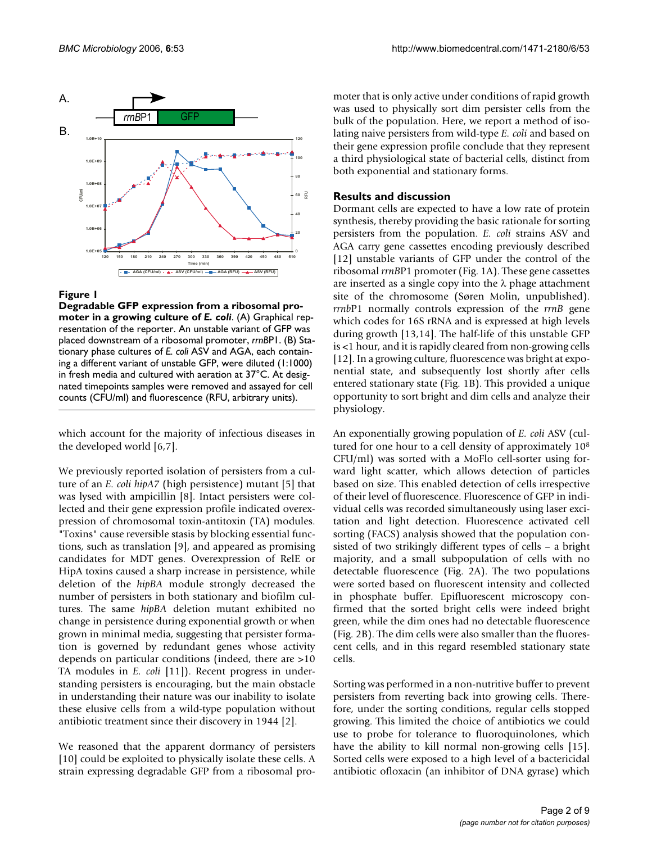

**Degradable GFP expression from a ribosomal promoter in a growing culture of** *E. coli*. (A) Graphical representation of the reporter. An unstable variant of GFP was placed downstream of a ribosomal promoter, *rrnB*P1. (B) Stationary phase cultures of *E. coli* ASV and AGA, each containing a different variant of unstable GFP, were diluted (1:1000) in fresh media and cultured with aeration at 37°C. At designated timepoints samples were removed and assayed for cell counts (CFU/ml) and fluorescence (RFU, arbitrary units).

which account for the majority of infectious diseases in the developed world [6,7].

We previously reported isolation of persisters from a culture of an *E. coli hipA7* (high persistence) mutant [5] that was lysed with ampicillin [8]. Intact persisters were collected and their gene expression profile indicated overexpression of chromosomal toxin-antitoxin (TA) modules. "Toxins" cause reversible stasis by blocking essential functions, such as translation [9], and appeared as promising candidates for MDT genes. Overexpression of RelE or HipA toxins caused a sharp increase in persistence, while deletion of the *hipBA* module strongly decreased the number of persisters in both stationary and biofilm cultures. The same *hipBA* deletion mutant exhibited no change in persistence during exponential growth or when grown in minimal media, suggesting that persister formation is governed by redundant genes whose activity depends on particular conditions (indeed, there are >10 TA modules in *E. coli* [11]). Recent progress in understanding persisters is encouraging, but the main obstacle in understanding their nature was our inability to isolate these elusive cells from a wild-type population without antibiotic treatment since their discovery in 1944 [2].

We reasoned that the apparent dormancy of persisters [10] could be exploited to physically isolate these cells. A strain expressing degradable GFP from a ribosomal promoter that is only active under conditions of rapid growth was used to physically sort dim persister cells from the bulk of the population. Here, we report a method of isolating naive persisters from wild-type *E. coli* and based on their gene expression profile conclude that they represent a third physiological state of bacterial cells, distinct from both exponential and stationary forms.

### **Results and discussion**

Dormant cells are expected to have a low rate of protein synthesis, thereby providing the basic rationale for sorting persisters from the population. *E. coli* strains ASV and AGA carry gene cassettes encoding previously described [12] unstable variants of GFP under the control of the ribosomal *rrnB*P1 promoter (Fig. 1A). These gene cassettes are inserted as a single copy into the  $\lambda$  phage attachment site of the chromosome (Søren Molin, unpublished). *rrnb*P1 normally controls expression of the *rrnB* gene which codes for 16S rRNA and is expressed at high levels during growth [13,14]. The half-life of this unstable GFP is <1 hour, and it is rapidly cleared from non-growing cells [12]. In a growing culture, fluorescence was bright at exponential state, and subsequently lost shortly after cells entered stationary state (Fig. 1B). This provided a unique opportunity to sort bright and dim cells and analyze their physiology.

An exponentially growing population of *E. coli* ASV (cultured for one hour to a cell density of approximately 108 CFU/ml) was sorted with a MoFlo cell-sorter using forward light scatter, which allows detection of particles based on size. This enabled detection of cells irrespective of their level of fluorescence. Fluorescence of GFP in individual cells was recorded simultaneously using laser excitation and light detection. Fluorescence activated cell sorting (FACS) analysis showed that the population consisted of two strikingly different types of cells – a bright majority, and a small subpopulation of cells with no detectable fluorescence (Fig. 2A). The two populations were sorted based on fluorescent intensity and collected in phosphate buffer. Epifluorescent microscopy confirmed that the sorted bright cells were indeed bright green, while the dim ones had no detectable fluorescence (Fig. 2B). The dim cells were also smaller than the fluorescent cells, and in this regard resembled stationary state cells.

Sorting was performed in a non-nutritive buffer to prevent persisters from reverting back into growing cells. Therefore, under the sorting conditions, regular cells stopped growing. This limited the choice of antibiotics we could use to probe for tolerance to fluoroquinolones, which have the ability to kill normal non-growing cells [15]. Sorted cells were exposed to a high level of a bactericidal antibiotic ofloxacin (an inhibitor of DNA gyrase) which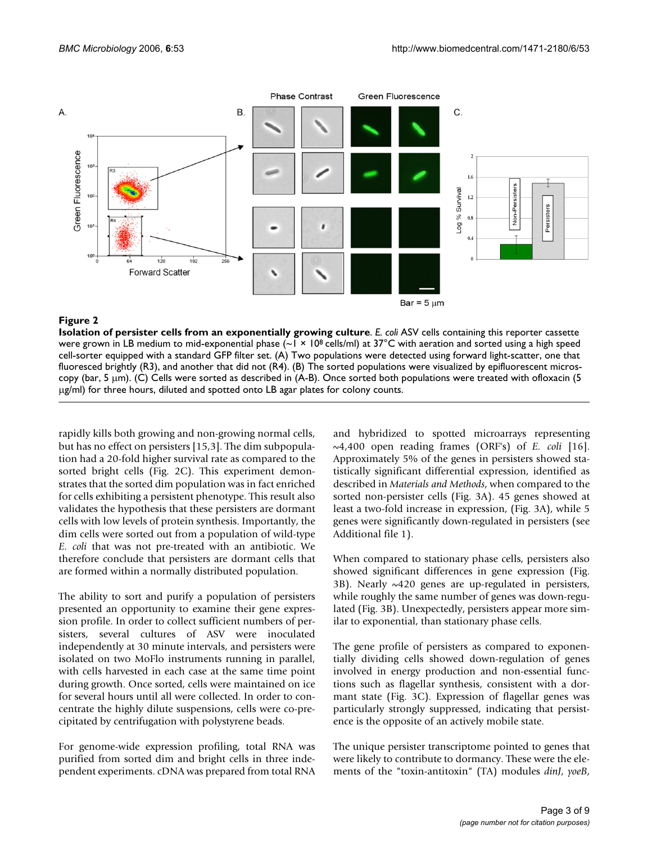

**Isolation of persister cells from an exponentially growing culture.** *E. coli ASV* **cells containing this reporter cassette** were grown in LB medium to mid-exponential phase  $(-1 \times 10^8 \text{ cells/ml})$  at 37°C with aeration and sorted using a high speed cell-sorter equipped with a standard GFP filter set. (A) Two populations were detected using forward light-scatter, one that fluoresced brightly (R3), and another that did not (R4). (B) The sorted populations were visualized by epifluorescent microscopy (bar, 5 μm). (C) Cells were sorted as described in (A-B). Once sorted both populations were treated with ofloxacin (5 μg/ml) for three hours, diluted and spotted onto LB agar plates for colony counts.

rapidly kills both growing and non-growing normal cells, but has no effect on persisters [15,3]. The dim subpopulation had a 20-fold higher survival rate as compared to the sorted bright cells (Fig. 2C). This experiment demonstrates that the sorted dim population was in fact enriched for cells exhibiting a persistent phenotype. This result also validates the hypothesis that these persisters are dormant cells with low levels of protein synthesis. Importantly, the dim cells were sorted out from a population of wild-type *E. coli* that was not pre-treated with an antibiotic. We therefore conclude that persisters are dormant cells that are formed within a normally distributed population.

The ability to sort and purify a population of persisters presented an opportunity to examine their gene expression profile. In order to collect sufficient numbers of persisters, several cultures of ASV were inoculated independently at 30 minute intervals, and persisters were isolated on two MoFlo instruments running in parallel, with cells harvested in each case at the same time point during growth. Once sorted, cells were maintained on ice for several hours until all were collected. In order to concentrate the highly dilute suspensions, cells were co-precipitated by centrifugation with polystyrene beads.

For genome-wide expression profiling, total RNA was purified from sorted dim and bright cells in three independent experiments. cDNA was prepared from total RNA

and hybridized to spotted microarrays representing ~4,400 open reading frames (ORF's) of *E. coli* [16]. Approximately 5% of the genes in persisters showed statistically significant differential expression, identified as described in *Materials and Methods*, when compared to the sorted non-persister cells (Fig. 3A). 45 genes showed at least a two-fold increase in expression, (Fig. 3A), while 5 genes were significantly down-regulated in persisters (see Additional file 1).

When compared to stationary phase cells, persisters also showed significant differences in gene expression (Fig. 3B). Nearly  $\sim$ 420 genes are up-regulated in persisters, while roughly the same number of genes was down-regulated (Fig. 3B). Unexpectedly, persisters appear more similar to exponential, than stationary phase cells.

The gene profile of persisters as compared to exponentially dividing cells showed down-regulation of genes involved in energy production and non-essential functions such as flagellar synthesis, consistent with a dormant state (Fig. 3C). Expression of flagellar genes was particularly strongly suppressed, indicating that persistence is the opposite of an actively mobile state.

The unique persister transcriptome pointed to genes that were likely to contribute to dormancy. These were the elements of the "toxin-antitoxin" (TA) modules *dinJ*, *yoeB*,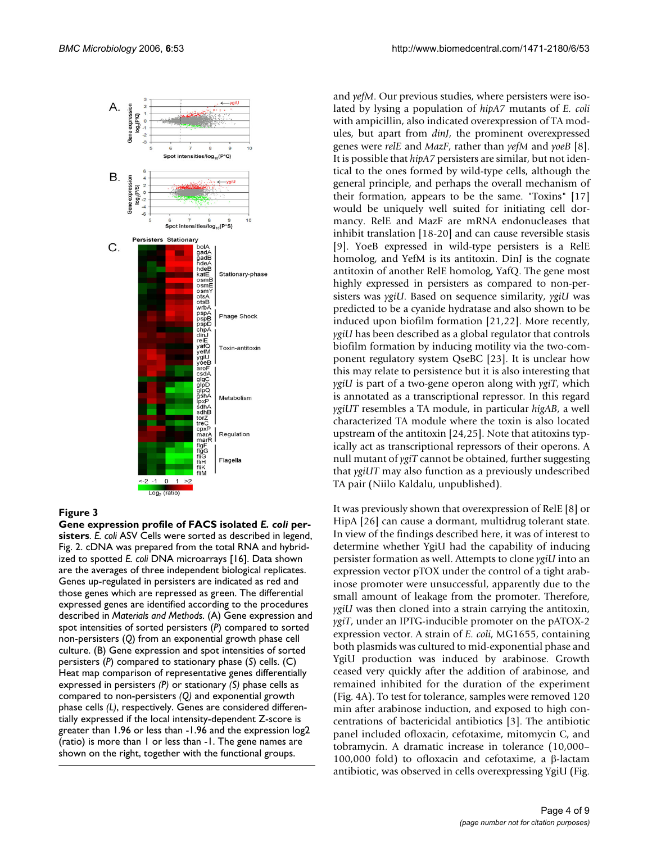

**Gene expression profile of FACS isolated** *E. coli* **persisters**. *E. coli* ASV Cells were sorted as described in legend, Fig. 2. cDNA was prepared from the total RNA and hybridized to spotted *E. coli* DNA microarrays [16]. Data shown are the averages of three independent biological replicates. Genes up-regulated in persisters are indicated as red and those genes which are repressed as green. The differential expressed genes are identified according to the procedures described in *Materials and Methods*. (A) Gene expression and spot intensities of sorted persisters (*P*) compared to sorted non-persisters (*Q*) from an exponential growth phase cell culture. (B) Gene expression and spot intensities of sorted persisters (*P*) compared to stationary phase (*S*) cells. (C) Heat map comparison of representative genes differentially expressed in persisters *(P)* or stationary *(S)* phase cells as compared to non-persisters *(Q)* and exponential growth phase cells *(L)*, respectively. Genes are considered differentially expressed if the local intensity-dependent Z-score is greater than 1.96 or less than -1.96 and the expression log2 (ratio) is more than 1 or less than -1. The gene names are shown on the right, together with the functional groups.

and *yefM*. Our previous studies, where persisters were isolated by lysing a population of *hipA7* mutants of *E. coli* with ampicillin, also indicated overexpression of TA modules, but apart from *dinJ*, the prominent overexpressed genes were *relE* and *MazF*, rather than *yefM* and *yoeB* [8]. It is possible that *hipA7* persisters are similar, but not identical to the ones formed by wild-type cells, although the general principle, and perhaps the overall mechanism of their formation, appears to be the same. "Toxins" [17] would be uniquely well suited for initiating cell dormancy. RelE and MazF are mRNA endonucleases that inhibit translation [18-20] and can cause reversible stasis [9]. YoeB expressed in wild-type persisters is a RelE homolog, and YefM is its antitoxin. DinJ is the cognate antitoxin of another RelE homolog, YafQ. The gene most highly expressed in persisters as compared to non-persisters was *ygiU*. Based on sequence similarity, *ygiU* was predicted to be a cyanide hydratase and also shown to be induced upon biofilm formation [21,22]. More recently, *ygiU* has been described as a global regulator that controls biofilm formation by inducing motility via the two-component regulatory system QseBC [23]. It is unclear how this may relate to persistence but it is also interesting that *ygiU* is part of a two-gene operon along with *ygiT*, which is annotated as a transcriptional repressor. In this regard *ygiUT* resembles a TA module, in particular *higAB*, a well characterized TA module where the toxin is also located upstream of the antitoxin [24,25]. Note that atitoxins typically act as transcriptional repressors of their operons. A null mutant of *ygiT* cannot be obtained, further suggesting that *ygiUT* may also function as a previously undescribed TA pair (Niilo Kaldalu, unpublished).

It was previously shown that overexpression of RelE [8] or HipA [26] can cause a dormant, multidrug tolerant state. In view of the findings described here, it was of interest to determine whether YgiU had the capability of inducing persister formation as well. Attempts to clone *ygiU* into an expression vector pTOX under the control of a tight arabinose promoter were unsuccessful, apparently due to the small amount of leakage from the promoter. Therefore, *ygiU* was then cloned into a strain carrying the antitoxin, *ygiT*, under an IPTG-inducible promoter on the pATOX-2 expression vector. A strain of *E. coli*, MG1655, containing both plasmids was cultured to mid-exponential phase and YgiU production was induced by arabinose. Growth ceased very quickly after the addition of arabinose, and remained inhibited for the duration of the experiment (Fig. 4A). To test for tolerance, samples were removed 120 min after arabinose induction, and exposed to high concentrations of bactericidal antibiotics [3]. The antibiotic panel included ofloxacin, cefotaxime, mitomycin C, and tobramycin. A dramatic increase in tolerance (10,000– 100,000 fold) to ofloxacin and cefotaxime, a β-lactam antibiotic, was observed in cells overexpressing YgiU (Fig.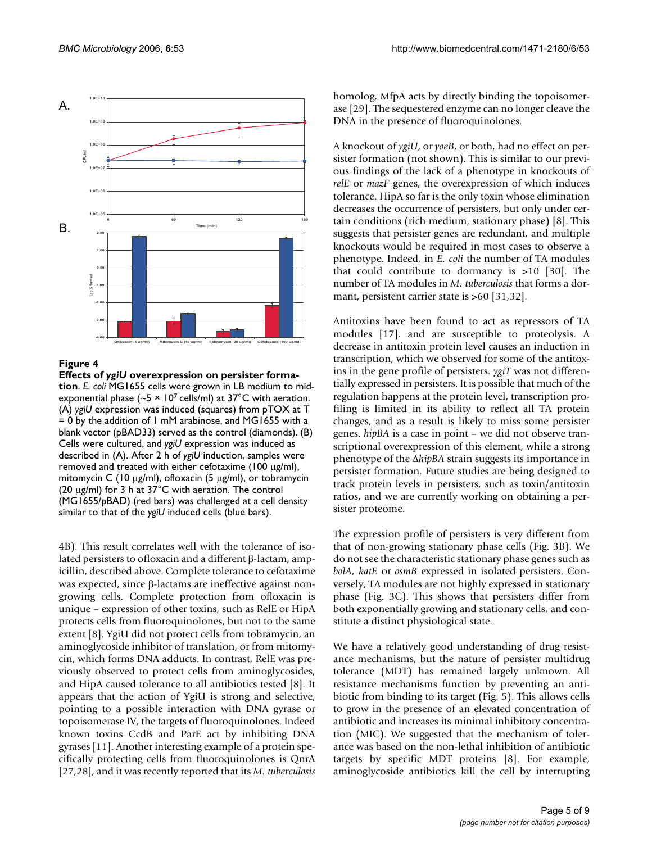

**Effects of** *ygiU* **overexpression on persister formation**. *E. coli* MG1655 cells were grown in LB medium to midexponential phase ( $\sim$ 5 × 10<sup>7</sup> cells/ml) at 37°C with aeration. (A) *ygiU* expression was induced (squares) from pTOX at T = 0 by the addition of 1 mM arabinose, and MG1655 with a blank vector (pBAD33) served as the control (diamonds). (B) Cells were cultured, and *ygiU* expression was induced as described in (A). After 2 h of *ygiU* induction, samples were removed and treated with either cefotaxime (100 μg/ml), mitomycin C (10 μg/ml), ofloxacin (5 μg/ml), or tobramycin (20  $\mu$ g/ml) for 3 h at 37°C with aeration. The control (MG1655/pBAD) (red bars) was challenged at a cell density similar to that of the *ygiU* induced cells (blue bars).

4B). This result correlates well with the tolerance of isolated persisters to ofloxacin and a different β-lactam, ampicillin, described above. Complete tolerance to cefotaxime was expected, since β-lactams are ineffective against nongrowing cells. Complete protection from ofloxacin is unique – expression of other toxins, such as RelE or HipA protects cells from fluoroquinolones, but not to the same extent [8]. YgiU did not protect cells from tobramycin, an aminoglycoside inhibitor of translation, or from mitomycin, which forms DNA adducts. In contrast, RelE was previously observed to protect cells from aminoglycosides, and HipA caused tolerance to all antibiotics tested [8]. It appears that the action of YgiU is strong and selective, pointing to a possible interaction with DNA gyrase or topoisomerase IV, the targets of fluoroquinolones. Indeed known toxins CcdB and ParE act by inhibiting DNA gyrases [11]. Another interesting example of a protein specifically protecting cells from fluoroquinolones is QnrA [27,28], and it was recently reported that its *M. tuberculosis* homolog, MfpA acts by directly binding the topoisomerase [29]. The sequestered enzyme can no longer cleave the DNA in the presence of fluoroquinolones.

A knockout of *ygiU*, or *yoeB*, or both, had no effect on persister formation (not shown). This is similar to our previous findings of the lack of a phenotype in knockouts of *relE* or *mazF* genes, the overexpression of which induces tolerance. HipA so far is the only toxin whose elimination decreases the occurrence of persisters, but only under certain conditions (rich medium, stationary phase) [8]. This suggests that persister genes are redundant, and multiple knockouts would be required in most cases to observe a phenotype. Indeed, in *E. coli* the number of TA modules that could contribute to dormancy is >10 [30]. The number of TA modules in *M. tuberculosis* that forms a dormant, persistent carrier state is >60 [31,32].

Antitoxins have been found to act as repressors of TA modules [17], and are susceptible to proteolysis. A decrease in antitoxin protein level causes an induction in transcription, which we observed for some of the antitoxins in the gene profile of persisters. *ygiT* was not differentially expressed in persisters. It is possible that much of the regulation happens at the protein level, transcription profiling is limited in its ability to reflect all TA protein changes, and as a result is likely to miss some persister genes. *hipBA* is a case in point – we did not observe transcriptional overexpression of this element, while a strong phenotype of the Δ*hipBA* strain suggests its importance in persister formation. Future studies are being designed to track protein levels in persisters, such as toxin/antitoxin ratios, and we are currently working on obtaining a persister proteome.

The expression profile of persisters is very different from that of non-growing stationary phase cells (Fig. 3B). We do not see the characteristic stationary phase genes such as *bolA, katE* or *osmB* expressed in isolated persisters. Conversely, TA modules are not highly expressed in stationary phase (Fig. 3C). This shows that persisters differ from both exponentially growing and stationary cells, and constitute a distinct physiological state.

We have a relatively good understanding of drug resistance mechanisms, but the nature of persister multidrug tolerance (MDT) has remained largely unknown. All resistance mechanisms function by preventing an antibiotic from binding to its target (Fig. 5). This allows cells to grow in the presence of an elevated concentration of antibiotic and increases its minimal inhibitory concentration (MIC). We suggested that the mechanism of tolerance was based on the non-lethal inhibition of antibiotic targets by specific MDT proteins [8]. For example, aminoglycoside antibiotics kill the cell by interrupting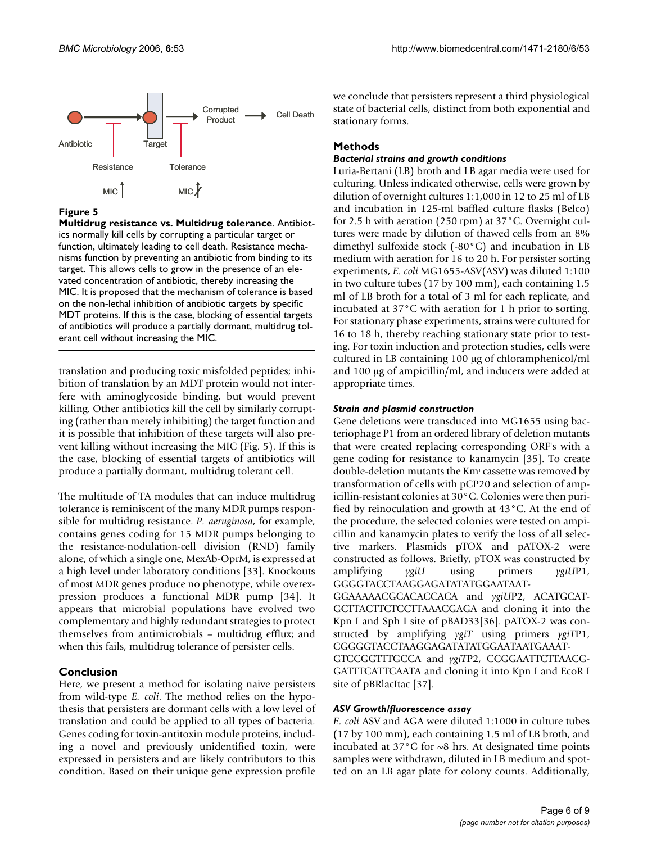

**Multidrug resistance vs. Multidrug tolerance**. Antibiotics normally kill cells by corrupting a particular target or function, ultimately leading to cell death. Resistance mechanisms function by preventing an antibiotic from binding to its target. This allows cells to grow in the presence of an elevated concentration of antibiotic, thereby increasing the MIC. It is proposed that the mechanism of tolerance is based on the non-lethal inhibition of antibiotic targets by specific MDT proteins. If this is the case, blocking of essential targets of antibiotics will produce a partially dormant, multidrug tolerant cell without increasing the MIC.

translation and producing toxic misfolded peptides; inhibition of translation by an MDT protein would not interfere with aminoglycoside binding, but would prevent killing. Other antibiotics kill the cell by similarly corrupting (rather than merely inhibiting) the target function and it is possible that inhibition of these targets will also prevent killing without increasing the MIC (Fig. 5). If this is the case, blocking of essential targets of antibiotics will produce a partially dormant, multidrug tolerant cell.

The multitude of TA modules that can induce multidrug tolerance is reminiscent of the many MDR pumps responsible for multidrug resistance. *P. aeruginosa*, for example, contains genes coding for 15 MDR pumps belonging to the resistance-nodulation-cell division (RND) family alone, of which a single one, MexAb-OprM, is expressed at a high level under laboratory conditions [33]. Knockouts of most MDR genes produce no phenotype, while overexpression produces a functional MDR pump [34]. It appears that microbial populations have evolved two complementary and highly redundant strategies to protect themselves from antimicrobials – multidrug efflux; and when this fails, multidrug tolerance of persister cells.

# **Conclusion**

Here, we present a method for isolating naive persisters from wild-type *E. coli*. The method relies on the hypothesis that persisters are dormant cells with a low level of translation and could be applied to all types of bacteria. Genes coding for toxin-antitoxin module proteins, including a novel and previously unidentified toxin, were expressed in persisters and are likely contributors to this condition. Based on their unique gene expression profile we conclude that persisters represent a third physiological state of bacterial cells, distinct from both exponential and stationary forms.

# **Methods**

# *Bacterial strains and growth conditions*

Luria-Bertani (LB) broth and LB agar media were used for culturing. Unless indicated otherwise, cells were grown by dilution of overnight cultures 1:1,000 in 12 to 25 ml of LB and incubation in 125-ml baffled culture flasks (Belco) for 2.5 h with aeration (250 rpm) at 37°C. Overnight cultures were made by dilution of thawed cells from an 8% dimethyl sulfoxide stock (-80°C) and incubation in LB medium with aeration for 16 to 20 h. For persister sorting experiments, *E. coli* MG1655-ASV(ASV) was diluted 1:100 in two culture tubes (17 by 100 mm), each containing 1.5 ml of LB broth for a total of 3 ml for each replicate, and incubated at 37°C with aeration for 1 h prior to sorting. For stationary phase experiments, strains were cultured for 16 to 18 h, thereby reaching stationary state prior to testing. For toxin induction and protection studies, cells were cultured in LB containing 100 μg of chloramphenicol/ml and 100 μg of ampicillin/ml, and inducers were added at appropriate times.

#### *Strain and plasmid construction*

Gene deletions were transduced into MG1655 using bacteriophage P1 from an ordered library of deletion mutants that were created replacing corresponding ORF's with a gene coding for resistance to kanamycin [35]. To create double-deletion mutants the Kmr cassette was removed by transformation of cells with pCP20 and selection of ampicillin-resistant colonies at 30°C. Colonies were then purified by reinoculation and growth at 43°C. At the end of the procedure, the selected colonies were tested on ampicillin and kanamycin plates to verify the loss of all selective markers. Plasmids pTOX and pATOX-2 were constructed as follows. Briefly, pTOX was constructed by amplifying *ygiU* using primers *ygiU*P1, GGGGTACCTAAGGAGATATATGGAATAAT-

GGAAAAACGCACACCACA and *ygiU*P2, ACATGCAT-GCTTACTTCTCCTTAAACGAGA and cloning it into the Kpn I and Sph I site of pBAD33[36]. pATOX-2 was constructed by amplifying *ygiT* using primers *ygiT*P1, CGGGGTACCTAAGGAGATATATGGAATAATGAAAT-

GTCCGGTTTGCCA and *ygiT*P2, CCGGAATTCTTAACG-GATTTCATTCAATA and cloning it into Kpn I and EcoR I site of pBRlacItac [37].

# *ASV Growth/fluorescence assay*

*E. coli* ASV and AGA were diluted 1:1000 in culture tubes (17 by 100 mm), each containing 1.5 ml of LB broth, and incubated at  $37^{\circ}$ C for  $\sim$ 8 hrs. At designated time points samples were withdrawn, diluted in LB medium and spotted on an LB agar plate for colony counts. Additionally,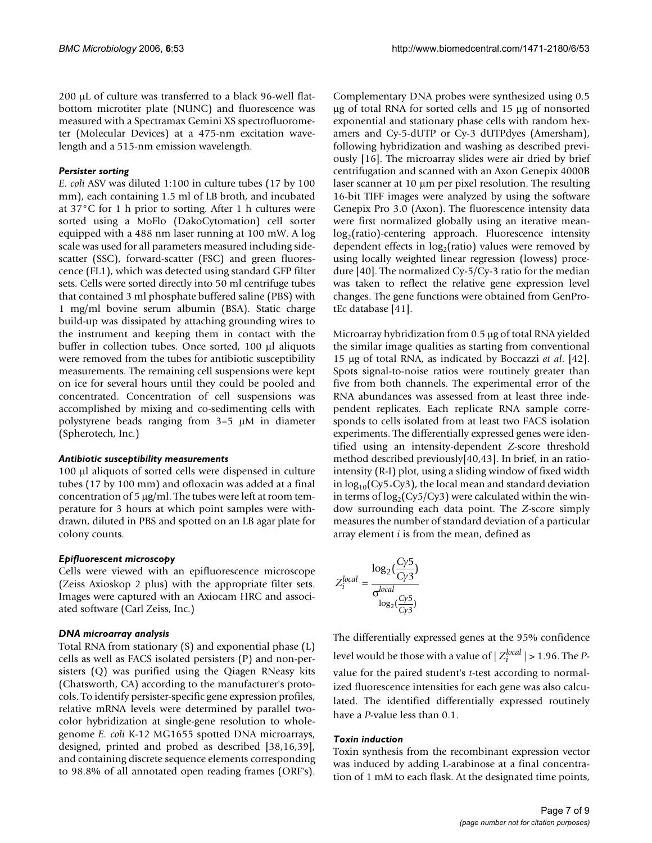200 μL of culture was transferred to a black 96-well flatbottom microtiter plate (NUNC) and fluorescence was measured with a Spectramax Gemini XS spectrofluorometer (Molecular Devices) at a 475-nm excitation wavelength and a 515-nm emission wavelength.

#### *Persister sorting*

*E. coli* ASV was diluted 1:100 in culture tubes (17 by 100 mm), each containing 1.5 ml of LB broth, and incubated at 37°C for 1 h prior to sorting. After 1 h cultures were sorted using a MoFlo (DakoCytomation) cell sorter equipped with a 488 nm laser running at 100 mW. A log scale was used for all parameters measured including sidescatter (SSC), forward-scatter (FSC) and green fluorescence (FL1), which was detected using standard GFP filter sets. Cells were sorted directly into 50 ml centrifuge tubes that contained 3 ml phosphate buffered saline (PBS) with 1 mg/ml bovine serum albumin (BSA). Static charge build-up was dissipated by attaching grounding wires to the instrument and keeping them in contact with the buffer in collection tubes. Once sorted, 100 μl aliquots were removed from the tubes for antibiotic susceptibility measurements. The remaining cell suspensions were kept on ice for several hours until they could be pooled and concentrated. Concentration of cell suspensions was accomplished by mixing and co-sedimenting cells with polystyrene beads ranging from 3–5 μM in diameter (Spherotech, Inc.)

#### *Antibiotic susceptibility measurements*

100 μl aliquots of sorted cells were dispensed in culture tubes (17 by 100 mm) and ofloxacin was added at a final concentration of 5 μg/ml. The tubes were left at room temperature for 3 hours at which point samples were withdrawn, diluted in PBS and spotted on an LB agar plate for colony counts.

#### *Epifluorescent microscopy*

Cells were viewed with an epifluorescence microscope (Zeiss Axioskop 2 plus) with the appropriate filter sets. Images were captured with an Axiocam HRC and associated software (Carl Zeiss, Inc.)

#### *DNA microarray analysis*

Total RNA from stationary (S) and exponential phase (L) cells as well as FACS isolated persisters (P) and non-persisters (Q) was purified using the Qiagen RNeasy kits (Chatsworth, CA) according to the manufacturer's protocols. To identify persister-specific gene expression profiles, relative mRNA levels were determined by parallel twocolor hybridization at single-gene resolution to wholegenome *E. coli* K-12 MG1655 spotted DNA microarrays, designed, printed and probed as described [38,16,39], and containing discrete sequence elements corresponding to 98.8% of all annotated open reading frames (ORF's).

Complementary DNA probes were synthesized using 0.5 μg of total RNA for sorted cells and 15 μg of nonsorted exponential and stationary phase cells with random hexamers and Cy-5-dUTP or Cy-3 dUTPdyes (Amersham), following hybridization and washing as described previously [16]. The microarray slides were air dried by brief centrifugation and scanned with an Axon Genepix 4000B laser scanner at 10 μm per pixel resolution. The resulting 16-bit TIFF images were analyzed by using the software Genepix Pro 3.0 (Axon). The fluorescence intensity data were first normalized globally using an iterative meanlog<sub>2</sub>(ratio)-centering approach. Fluorescence intensity dependent effects in  $log<sub>2</sub>(ratio)$  values were removed by using locally weighted linear regression (lowess) procedure [40]. The normalized Cy-5/Cy-3 ratio for the median was taken to reflect the relative gene expression level changes. The gene functions were obtained from GenProtEc database [41].

Microarray hybridization from 0.5 μg of total RNA yielded the similar image qualities as starting from conventional 15 μg of total RNA, as indicated by Boccazzi *et al*. [42]. Spots signal-to-noise ratios were routinely greater than five from both channels. The experimental error of the RNA abundances was assessed from at least three independent replicates. Each replicate RNA sample corresponds to cells isolated from at least two FACS isolation experiments. The differentially expressed genes were identified using an intensity-dependent *Z*-score threshold method described previously[40,43]. In brief, in an ratiointensity (R-I) plot, using a sliding window of fixed width in  $log_{10}(Cy5*Cy3)$ , the local mean and standard deviation in terms of  $log_2(Cy5/Cy3)$  were calculated within the window surrounding each data point. The *Z*-score simply measures the number of standard deviation of a particular array element *i* is from the mean, defined as

$$
Z_i^{local} = \frac{\log_2(\frac{Cy5}{Cy3})}{\sigma_{\log_2(\frac{Cy5}{Cy3})}^{\log_2(\frac{Cy5}{Cy3})}}
$$

The differentially expressed genes at the 95% confidence level would be those with a value of  $|Z^{local}_i|$  > 1.96. The *P*value for the paired student's *t*-test according to normalized fluorescence intensities for each gene was also calculated. The identified differentially expressed routinely have a *P*-value less than 0.1.

#### *Toxin induction*

Toxin synthesis from the recombinant expression vector was induced by adding L-arabinose at a final concentration of 1 mM to each flask. At the designated time points,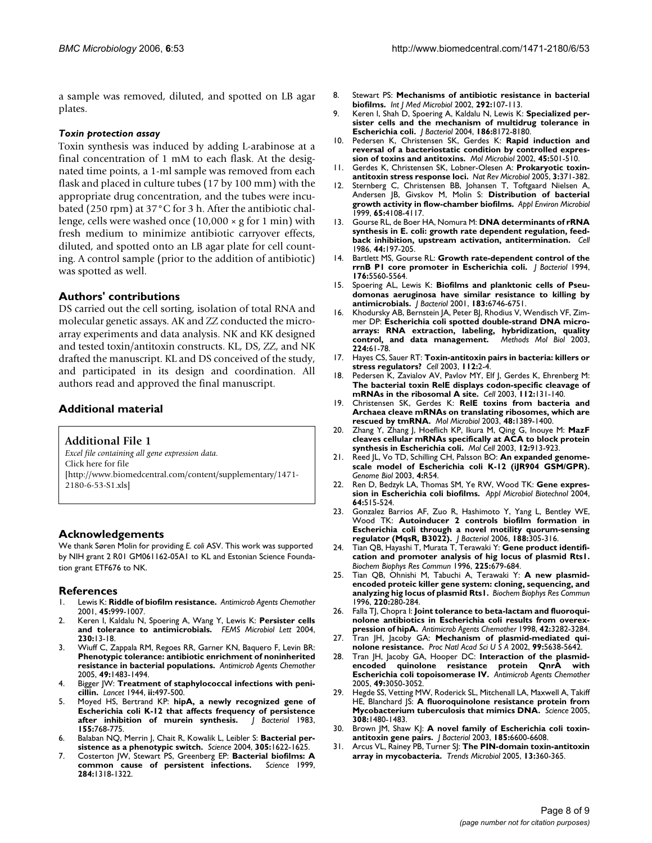a sample was removed, diluted, and spotted on LB agar plates.

#### *Toxin protection assay*

Toxin synthesis was induced by adding L-arabinose at a final concentration of 1 mM to each flask. At the designated time points, a 1-ml sample was removed from each flask and placed in culture tubes (17 by 100 mm) with the appropriate drug concentration, and the tubes were incubated (250 rpm) at 37°C for 3 h. After the antibiotic challenge, cells were washed once  $(10,000 \times g$  for 1 min) with fresh medium to minimize antibiotic carryover effects, diluted, and spotted onto an LB agar plate for cell counting. A control sample (prior to the addition of antibiotic) was spotted as well.

#### **Authors' contributions**

DS carried out the cell sorting, isolation of total RNA and molecular genetic assays. AK and ZZ conducted the microarray experiments and data analysis. NK and KK designed and tested toxin/antitoxin constructs. KL, DS, ZZ, and NK drafted the manuscript. KL and DS conceived of the study, and participated in its design and coordination. All authors read and approved the final manuscript.

#### **Additional material**

#### **Additional File 1**

*Excel file containing all gene expression data.* Click here for file [\[http://www.biomedcentral.com/content/supplementary/1471-](http://www.biomedcentral.com/content/supplementary/1471-2180-6-53-S1.xls) 2180-6-53-S1.xls]

#### **Acknowledgements**

We thank Søren Molin for providing *E. coli* ASV. This work was supported by NIH grant 2 R01 GM061162-05A1 to KL and Estonian Science Foundation grant ETF676 to NK.

#### **References**

- 1. Lewis K: **[Riddle of biofilm resistance.](http://www.ncbi.nlm.nih.gov/entrez/query.fcgi?cmd=Retrieve&db=PubMed&dopt=Abstract&list_uids=11257008)** *Antimicrob Agents Chemother* 2001, **45:**999-1007.
- 2. Keren I, Kaldalu N, Spoering A, Wang Y, Lewis K: **[Persister cells](http://www.ncbi.nlm.nih.gov/entrez/query.fcgi?cmd=Retrieve&db=PubMed&dopt=Abstract&list_uids=14734160) [and tolerance to antimicrobials.](http://www.ncbi.nlm.nih.gov/entrez/query.fcgi?cmd=Retrieve&db=PubMed&dopt=Abstract&list_uids=14734160)** *FEMS Microbiol Lett* 2004, **230:**13-18.
- 3. Wiuff C, Zappala RM, Regoes RR, Garner KN, Baquero F, Levin BR: **[Phenotypic tolerance: antibiotic enrichment of noninherited](http://www.ncbi.nlm.nih.gov/entrez/query.fcgi?cmd=Retrieve&db=PubMed&dopt=Abstract&list_uids=15793130) [resistance in bacterial populations.](http://www.ncbi.nlm.nih.gov/entrez/query.fcgi?cmd=Retrieve&db=PubMed&dopt=Abstract&list_uids=15793130)** *Antimicrob Agents Chemother* 2005, **49:**1483-1494.
- Bigger JW: Treatment of staphylococcal infections with peni**cillin.** *Lancet* 1944, **ii:**497-500.
- 5. Moyed HS, Bertrand KP: **[hipA, a newly recognized gene of](http://www.ncbi.nlm.nih.gov/entrez/query.fcgi?cmd=Retrieve&db=PubMed&dopt=Abstract&list_uids=6348026) [Escherichia coli K-12 that affects frequency of persistence](http://www.ncbi.nlm.nih.gov/entrez/query.fcgi?cmd=Retrieve&db=PubMed&dopt=Abstract&list_uids=6348026) [after inhibition of murein synthesis.](http://www.ncbi.nlm.nih.gov/entrez/query.fcgi?cmd=Retrieve&db=PubMed&dopt=Abstract&list_uids=6348026)** *J Bacteriol* 1983, **155:**768-775.
- 6. Balaban NQ, Merrin J, Chait R, Kowalik L, Leibler S: **[Bacterial per](http://www.ncbi.nlm.nih.gov/entrez/query.fcgi?cmd=Retrieve&db=PubMed&dopt=Abstract&list_uids=15308767)[sistence as a phenotypic switch.](http://www.ncbi.nlm.nih.gov/entrez/query.fcgi?cmd=Retrieve&db=PubMed&dopt=Abstract&list_uids=15308767)** *Science* 2004, **305:**1622-1625.
- 7. Costerton JW, Stewart PS, Greenberg EP: **[Bacterial biofilms: A](http://www.ncbi.nlm.nih.gov/entrez/query.fcgi?cmd=Retrieve&db=PubMed&dopt=Abstract&list_uids=10334980) [common cause of persistent infections.](http://www.ncbi.nlm.nih.gov/entrez/query.fcgi?cmd=Retrieve&db=PubMed&dopt=Abstract&list_uids=10334980)** *Science* 1999, **284:**1318-1322.
- 8. Stewart PS: **[Mechanisms of antibiotic resistance in bacterial](http://www.ncbi.nlm.nih.gov/entrez/query.fcgi?cmd=Retrieve&db=PubMed&dopt=Abstract&list_uids=12195733) [biofilms.](http://www.ncbi.nlm.nih.gov/entrez/query.fcgi?cmd=Retrieve&db=PubMed&dopt=Abstract&list_uids=12195733)** *Int J Med Microbiol* 2002, **292:**107-113.
- 9. Keren I, Shah D, Spoering A, Kaldalu N, Lewis K: **[Specialized per](http://www.ncbi.nlm.nih.gov/entrez/query.fcgi?cmd=Retrieve&db=PubMed&dopt=Abstract&list_uids=15576765)[sister cells and the mechanism of multidrug tolerance in](http://www.ncbi.nlm.nih.gov/entrez/query.fcgi?cmd=Retrieve&db=PubMed&dopt=Abstract&list_uids=15576765) [Escherichia coli.](http://www.ncbi.nlm.nih.gov/entrez/query.fcgi?cmd=Retrieve&db=PubMed&dopt=Abstract&list_uids=15576765)** *J Bacteriol* 2004, **186:**8172-8180.
- 10. Pedersen K, Christensen SK, Gerdes K: **[Rapid induction and](http://www.ncbi.nlm.nih.gov/entrez/query.fcgi?cmd=Retrieve&db=PubMed&dopt=Abstract&list_uids=12123459) [reversal of a bacteriostatic condition by controlled expres](http://www.ncbi.nlm.nih.gov/entrez/query.fcgi?cmd=Retrieve&db=PubMed&dopt=Abstract&list_uids=12123459)[sion of toxins and antitoxins.](http://www.ncbi.nlm.nih.gov/entrez/query.fcgi?cmd=Retrieve&db=PubMed&dopt=Abstract&list_uids=12123459)** *Mol Microbiol* 2002, **45:**501-510.
- 11. Gerdes K, Christensen SK, Lobner-Olesen A: **[Prokaryotic toxin](http://www.ncbi.nlm.nih.gov/entrez/query.fcgi?cmd=Retrieve&db=PubMed&dopt=Abstract&list_uids=15864262)[antitoxin stress response loci.](http://www.ncbi.nlm.nih.gov/entrez/query.fcgi?cmd=Retrieve&db=PubMed&dopt=Abstract&list_uids=15864262)** *Nat Rev Microbiol* 2005, **3:**371-382.
- 12. Sternberg C, Christensen BB, Johansen T, Toftgaard Nielsen A, Andersen JB, Givskov M, Molin S: **[Distribution of bacterial](http://www.ncbi.nlm.nih.gov/entrez/query.fcgi?cmd=Retrieve&db=PubMed&dopt=Abstract&list_uids=10473423) [growth activity in flow-chamber biofilms.](http://www.ncbi.nlm.nih.gov/entrez/query.fcgi?cmd=Retrieve&db=PubMed&dopt=Abstract&list_uids=10473423)** *Appl Environ Microbiol* 1999, **65:**4108-4117.
- 13. Gourse RL, de Boer HA, Nomura M: **[DNA determinants of rRNA](http://www.ncbi.nlm.nih.gov/entrez/query.fcgi?cmd=Retrieve&db=PubMed&dopt=Abstract&list_uids=2416474) [synthesis in E. coli: growth rate dependent regulation, feed](http://www.ncbi.nlm.nih.gov/entrez/query.fcgi?cmd=Retrieve&db=PubMed&dopt=Abstract&list_uids=2416474)[back inhibition, upstream activation, antitermination.](http://www.ncbi.nlm.nih.gov/entrez/query.fcgi?cmd=Retrieve&db=PubMed&dopt=Abstract&list_uids=2416474)** *Cell* 1986, **44:**197-205.
- 14. Bartlett MS, Gourse RL: **[Growth rate-dependent control of the](http://www.ncbi.nlm.nih.gov/entrez/query.fcgi?cmd=Retrieve&db=PubMed&dopt=Abstract&list_uids=8071240) [rrnB P1 core promoter in Escherichia coli.](http://www.ncbi.nlm.nih.gov/entrez/query.fcgi?cmd=Retrieve&db=PubMed&dopt=Abstract&list_uids=8071240)** *J Bacteriol* 1994, **176:**5560-5564.
- 15. Spoering AL, Lewis K: **[Biofilms and planktonic cells of Pseu](http://www.ncbi.nlm.nih.gov/entrez/query.fcgi?cmd=Retrieve&db=PubMed&dopt=Abstract&list_uids=11698361)[domonas aeruginosa have similar resistance to killing by](http://www.ncbi.nlm.nih.gov/entrez/query.fcgi?cmd=Retrieve&db=PubMed&dopt=Abstract&list_uids=11698361) [antimicrobials.](http://www.ncbi.nlm.nih.gov/entrez/query.fcgi?cmd=Retrieve&db=PubMed&dopt=Abstract&list_uids=11698361)** *J Bacteriol* 2001, **183:**6746-6751.
- 16. Khodursky AB, Bernstein JA, Peter BJ, Rhodius V, Wendisch VF, Zimmer DP: **[Escherichia coli spotted double-strand DNA micro](http://www.ncbi.nlm.nih.gov/entrez/query.fcgi?cmd=Retrieve&db=PubMed&dopt=Abstract&list_uids=12710666)[arrays: RNA extraction, labeling, hybridization, quality](http://www.ncbi.nlm.nih.gov/entrez/query.fcgi?cmd=Retrieve&db=PubMed&dopt=Abstract&list_uids=12710666) [control, and data management.](http://www.ncbi.nlm.nih.gov/entrez/query.fcgi?cmd=Retrieve&db=PubMed&dopt=Abstract&list_uids=12710666)** *Methods Mol Biol* 2003, **224:**61-78.
- 17. Hayes CS, Sauer RT: **[Toxin-antitoxin pairs in bacteria: killers or](http://www.ncbi.nlm.nih.gov/entrez/query.fcgi?cmd=Retrieve&db=PubMed&dopt=Abstract&list_uids=12526786) [stress regulators?](http://www.ncbi.nlm.nih.gov/entrez/query.fcgi?cmd=Retrieve&db=PubMed&dopt=Abstract&list_uids=12526786)** *Cell* 2003, **112:**2-4.
- 18. Pedersen K, Zavialov AV, Pavlov MY, Elf J, Gerdes K, Ehrenberg M: **[The bacterial toxin RelE displays codon-specific cleavage of](http://www.ncbi.nlm.nih.gov/entrez/query.fcgi?cmd=Retrieve&db=PubMed&dopt=Abstract&list_uids=12526800) [mRNAs in the ribosomal A site.](http://www.ncbi.nlm.nih.gov/entrez/query.fcgi?cmd=Retrieve&db=PubMed&dopt=Abstract&list_uids=12526800)** *Cell* 2003, **112:**131-140.
- 19. Christensen SK, Gerdes K: **[RelE toxins from bacteria and](http://www.ncbi.nlm.nih.gov/entrez/query.fcgi?cmd=Retrieve&db=PubMed&dopt=Abstract&list_uids=12787364) [Archaea cleave mRNAs on translating ribosomes, which are](http://www.ncbi.nlm.nih.gov/entrez/query.fcgi?cmd=Retrieve&db=PubMed&dopt=Abstract&list_uids=12787364) [rescued by tmRNA.](http://www.ncbi.nlm.nih.gov/entrez/query.fcgi?cmd=Retrieve&db=PubMed&dopt=Abstract&list_uids=12787364)** *Mol Microbiol* 2003, **48:**1389-1400.
- 20. Zhang Y, Zhang J, Hoeflich KP, Ikura M, Qing G, Inouye M: **[MazF](http://www.ncbi.nlm.nih.gov/entrez/query.fcgi?cmd=Retrieve&db=PubMed&dopt=Abstract&list_uids=14580342) [cleaves cellular mRNAs specifically at ACA to block protein](http://www.ncbi.nlm.nih.gov/entrez/query.fcgi?cmd=Retrieve&db=PubMed&dopt=Abstract&list_uids=14580342) [synthesis in Escherichia coli.](http://www.ncbi.nlm.nih.gov/entrez/query.fcgi?cmd=Retrieve&db=PubMed&dopt=Abstract&list_uids=14580342)** *Mol Cell* 2003, **12:**913-923.
- 21. Reed JL, Vo TD, Schilling CH, Palsson BO: **[An expanded genome](http://www.ncbi.nlm.nih.gov/entrez/query.fcgi?cmd=Retrieve&db=PubMed&dopt=Abstract&list_uids=12952533)[scale model of Escherichia coli K-12 \(iJR904 GSM/GPR\).](http://www.ncbi.nlm.nih.gov/entrez/query.fcgi?cmd=Retrieve&db=PubMed&dopt=Abstract&list_uids=12952533)** *Genome Biol* 2003, **4:**R54.
- 22. Ren D, Bedzyk LA, Thomas SM, Ye RW, Wood TK: **[Gene expres](http://www.ncbi.nlm.nih.gov/entrez/query.fcgi?cmd=Retrieve&db=PubMed&dopt=Abstract&list_uids=14727089)[sion in Escherichia coli biofilms.](http://www.ncbi.nlm.nih.gov/entrez/query.fcgi?cmd=Retrieve&db=PubMed&dopt=Abstract&list_uids=14727089)** *Appl Microbiol Biotechnol* 2004, **64:**515-524.
- 23. Gonzalez Barrios AF, Zuo R, Hashimoto Y, Yang L, Bentley WE, Wood TK: **[Autoinducer 2 controls biofilm formation in](http://www.ncbi.nlm.nih.gov/entrez/query.fcgi?cmd=Retrieve&db=PubMed&dopt=Abstract&list_uids=16352847) [Escherichia coli through a novel motility quorum-sensing](http://www.ncbi.nlm.nih.gov/entrez/query.fcgi?cmd=Retrieve&db=PubMed&dopt=Abstract&list_uids=16352847) [regulator \(MqsR, B3022\).](http://www.ncbi.nlm.nih.gov/entrez/query.fcgi?cmd=Retrieve&db=PubMed&dopt=Abstract&list_uids=16352847)** *J Bacteriol* 2006, **188:**305-316.
- 24. Tian QB, Hayashi T, Murata T, Terawaki Y: **[Gene product identifi](http://www.ncbi.nlm.nih.gov/entrez/query.fcgi?cmd=Retrieve&db=PubMed&dopt=Abstract&list_uids=8753818)[cation and promoter analysis of hig locus of plasmid Rts1.](http://www.ncbi.nlm.nih.gov/entrez/query.fcgi?cmd=Retrieve&db=PubMed&dopt=Abstract&list_uids=8753818)** *Biochem Biophys Res Commun* 1996, **225:**679-684.
- 25. Tian QB, Ohnishi M, Tabuchi A, Terawaki Y: **[A new plasmid](http://www.ncbi.nlm.nih.gov/entrez/query.fcgi?cmd=Retrieve&db=PubMed&dopt=Abstract&list_uids=8645296)[encoded proteic killer gene system: cloning, sequencing, and](http://www.ncbi.nlm.nih.gov/entrez/query.fcgi?cmd=Retrieve&db=PubMed&dopt=Abstract&list_uids=8645296) [analyzing hig locus of plasmid Rts1.](http://www.ncbi.nlm.nih.gov/entrez/query.fcgi?cmd=Retrieve&db=PubMed&dopt=Abstract&list_uids=8645296)** *Biochem Biophys Res Commun* 1996, **220:**280-284.
- 26. Falla TJ, Chopra I: **[Joint tolerance to beta-lactam and fluoroqui](http://www.ncbi.nlm.nih.gov/entrez/query.fcgi?cmd=Retrieve&db=PubMed&dopt=Abstract&list_uids=9835528)[nolone antibiotics in Escherichia coli results from overex](http://www.ncbi.nlm.nih.gov/entrez/query.fcgi?cmd=Retrieve&db=PubMed&dopt=Abstract&list_uids=9835528)[pression of hipA.](http://www.ncbi.nlm.nih.gov/entrez/query.fcgi?cmd=Retrieve&db=PubMed&dopt=Abstract&list_uids=9835528)** *Antimicrob Agents Chemother* 1998, **42:**3282-3284.
- 27. Tran JH, Jacoby GA: **[Mechanism of plasmid-mediated qui](http://www.ncbi.nlm.nih.gov/entrez/query.fcgi?cmd=Retrieve&db=PubMed&dopt=Abstract&list_uids=11943863)[nolone resistance.](http://www.ncbi.nlm.nih.gov/entrez/query.fcgi?cmd=Retrieve&db=PubMed&dopt=Abstract&list_uids=11943863)** *Proc Natl Acad Sci U S A* 2002, **99:**5638-5642.
- 28. Tran JH, Jacoby GA, Hooper DC: **[Interaction of the plasmid](http://www.ncbi.nlm.nih.gov/entrez/query.fcgi?cmd=Retrieve&db=PubMed&dopt=Abstract&list_uids=15980397)[encoded quinolone resistance protein QnrA with](http://www.ncbi.nlm.nih.gov/entrez/query.fcgi?cmd=Retrieve&db=PubMed&dopt=Abstract&list_uids=15980397) [Escherichia coli topoisomerase IV.](http://www.ncbi.nlm.nih.gov/entrez/query.fcgi?cmd=Retrieve&db=PubMed&dopt=Abstract&list_uids=15980397)** *Antimicrob Agents Chemother* 2005, **49:**3050-3052.
- 29. Hegde SS, Vetting MW, Roderick SL, Mitchenall LA, Maxwell A, Takiff HE, Blanchard JS: **[A fluoroquinolone resistance protein from](http://www.ncbi.nlm.nih.gov/entrez/query.fcgi?cmd=Retrieve&db=PubMed&dopt=Abstract&list_uids=15933203) [Mycobacterium tuberculosis that mimics DNA.](http://www.ncbi.nlm.nih.gov/entrez/query.fcgi?cmd=Retrieve&db=PubMed&dopt=Abstract&list_uids=15933203)** *Science* 2005, **308:**1480-1483.
- 30. Brown JM, Shaw KJ: [A novel family of Escherichia coli toxin](http://www.ncbi.nlm.nih.gov/entrez/query.fcgi?cmd=Retrieve&db=PubMed&dopt=Abstract&list_uids=14594833)**[antitoxin gene pairs.](http://www.ncbi.nlm.nih.gov/entrez/query.fcgi?cmd=Retrieve&db=PubMed&dopt=Abstract&list_uids=14594833)** *J Bacteriol* 2003, **185:**6600-6608.
- 31. Arcus VL, Rainey PB, Turner SJ: **[The PIN-domain toxin-antitoxin](http://www.ncbi.nlm.nih.gov/entrez/query.fcgi?cmd=Retrieve&db=PubMed&dopt=Abstract&list_uids=15993073) [array in mycobacteria.](http://www.ncbi.nlm.nih.gov/entrez/query.fcgi?cmd=Retrieve&db=PubMed&dopt=Abstract&list_uids=15993073)** *Trends Microbiol* 2005, **13:**360-365.